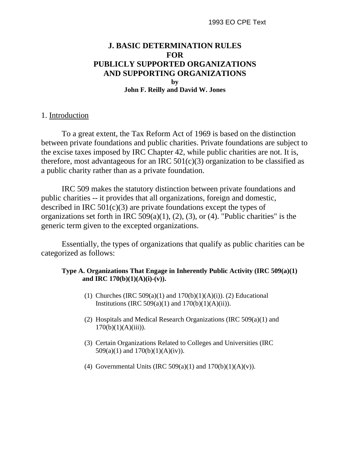# **J. BASIC DETERMINATION RULES FOR PUBLICLY SUPPORTED ORGANIZATIONS AND SUPPORTING ORGANIZATIONS by John F. Reilly and David W. Jones**

#### 1. Introduction

To a great extent, the Tax Reform Act of 1969 is based on the distinction between private foundations and public charities. Private foundations are subject to the excise taxes imposed by IRC Chapter 42, while public charities are not. It is, therefore, most advantageous for an IRC  $501(c)(3)$  organization to be classified as a public charity rather than as a private foundation.

IRC 509 makes the statutory distinction between private foundations and public charities -- it provides that all organizations, foreign and domestic, described in IRC  $501(c)(3)$  are private foundations except the types of organizations set forth in IRC  $509(a)(1)$ ,  $(2)$ ,  $(3)$ , or  $(4)$ . "Public charities" is the generic term given to the excepted organizations.

Essentially, the types of organizations that qualify as public charities can be categorized as follows:

#### **Type A. Organizations That Engage in Inherently Public Activity (IRC 509(a)(1) and IRC 170(b)(1)(A)(i)-(v)).**

- (1) Churches (IRC 509(a)(1) and  $170(b)(1)(A)(i)$ ). (2) Educational Institutions (IRC 509(a)(1) and  $170(b)(1)(A)(ii)$ ).
- (2) Hospitals and Medical Research Organizations (IRC 509(a)(1) and  $170(b)(1)(A)(iii)$ ).
- (3) Certain Organizations Related to Colleges and Universities (IRC 509(a)(1) and  $170(b)(1)(A)(iv)$ .
- (4) Governmental Units (IRC 509(a)(1) and  $170(b)(1)(A)(v)$ ).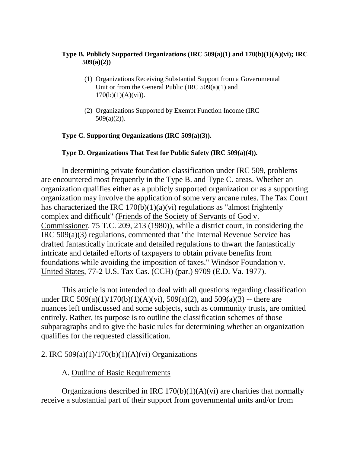#### **Type B. Publicly Supported Organizations (IRC 509(a)(1) and 170(b)(1)(A)(vi); IRC 509(a)(2))**

- (1) Organizations Receiving Substantial Support from a Governmental Unit or from the General Public (IRC  $509(a)(1)$  and  $170(b)(1)(A)(vi)$ .
- (2) Organizations Supported by Exempt Function Income (IRC  $509(a)(2)$ ).

#### **Type C. Supporting Organizations (IRC 509(a)(3)).**

#### **Type D. Organizations That Test for Public Safety (IRC 509(a)(4)).**

In determining private foundation classification under IRC 509, problems are encountered most frequently in the Type B. and Type C. areas. Whether an organization qualifies either as a publicly supported organization or as a supporting organization may involve the application of some very arcane rules. The Tax Court has characterized the IRC  $170(b)(1)(a)(vi)$  regulations as "almost frightenly complex and difficult" (Friends of the Society of Servants of God v. Commissioner, 75 T.C. 209, 213 (1980)), while a district court, in considering the IRC 509(a)(3) regulations, commented that "the Internal Revenue Service has drafted fantastically intricate and detailed regulations to thwart the fantastically intricate and detailed efforts of taxpayers to obtain private benefits from foundations while avoiding the imposition of taxes." Windsor Foundation v. United States, 77-2 U.S. Tax Cas. (CCH) (par.) 9709 (E.D. Va. 1977).

This article is not intended to deal with all questions regarding classification under IRC 509(a)(1)/170(b)(1)(A)(vi), 509(a)(2), and 509(a)(3) -- there are nuances left undiscussed and some subjects, such as community trusts, are omitted entirely. Rather, its purpose is to outline the classification schemes of those subparagraphs and to give the basic rules for determining whether an organization qualifies for the requested classification.

## 2. IRC  $509(a)(1)/170(b)(1)(A)(vi)$  Organizations

## A. Outline of Basic Requirements

Organizations described in IRC  $170(b)(1)(A)(vi)$  are charities that normally receive a substantial part of their support from governmental units and/or from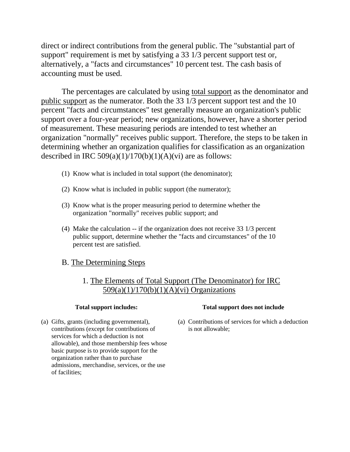direct or indirect contributions from the general public. The "substantial part of support" requirement is met by satisfying a 33 1/3 percent support test or, alternatively, a "facts and circumstances" 10 percent test. The cash basis of accounting must be used.

The percentages are calculated by using total support as the denominator and public support as the numerator. Both the 33 1/3 percent support test and the 10 percent "facts and circumstances" test generally measure an organization's public support over a four-year period; new organizations, however, have a shorter period of measurement. These measuring periods are intended to test whether an organization "normally" receives public support. Therefore, the steps to be taken in determining whether an organization qualifies for classification as an organization described in IRC  $509(a)(1)/170(b)(1)(A)(vi)$  are as follows:

- (1) Know what is included in total support (the denominator);
- (2) Know what is included in public support (the numerator);
- (3) Know what is the proper measuring period to determine whether the organization "normally" receives public support; and
- (4) Make the calculation -- if the organization does not receive 33 1/3 percent public support, determine whether the "facts and circumstances" of the 10 percent test are satisfied.

## B. The Determining Steps

# 1. The Elements of Total Support (The Denominator) for IRC 509(a)(1)/170(b)(1)(A)(vi) Organizations

contributions (except for contributions of is not allowable; services for which a deduction is not allowable), and those membership fees whose basic purpose is to provide support for the organization rather than to purchase admissions, merchandise, services, or the use of facilities;

#### **Total support includes: Total support does not include**

(a) Gifts, grants (including governmental), (a) Contributions of services for which a deduction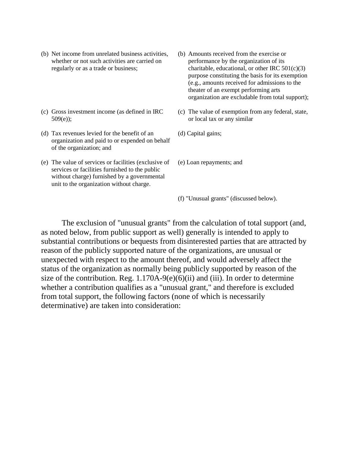- (b) Net income from unrelated business activities, (b) Amounts received from the exercise or whether or not such activities are carried on performance by the organization of its
- (c) Gross investment income (as defined in IRC (c) The value of exemption from any federal, state, 509(e)); or local tax or any similar
- (d) Tax revenues levied for the benefit of an  $($ d) Capital gains; organization and paid to or expended on behalf of the organization; and
- (e) The value of services or facilities (exclusive of (e) Loan repayments; and services or facilities furnished to the public without charge) furnished by a governmental unit to the organization without charge.
- regularly or as a trade or business; charitable, educational, or other IRC  $501(c)(3)$ purpose constituting the basis for its exemption (e.g., amounts received for admissions to the theater of an exempt performing arts organization are excludable from total support);
	-
	-
	-
	- (f) "Unusual grants" (discussed below).

The exclusion of "unusual grants" from the calculation of total support (and, as noted below, from public support as well) generally is intended to apply to substantial contributions or bequests from disinterested parties that are attracted by reason of the publicly supported nature of the organizations, are unusual or unexpected with respect to the amount thereof, and would adversely affect the status of the organization as normally being publicly supported by reason of the size of the contribution. Reg.  $1.170A-9(e)(6)(ii)$  and (iii). In order to determine whether a contribution qualifies as a "unusual grant," and therefore is excluded from total support, the following factors (none of which is necessarily determinative) are taken into consideration: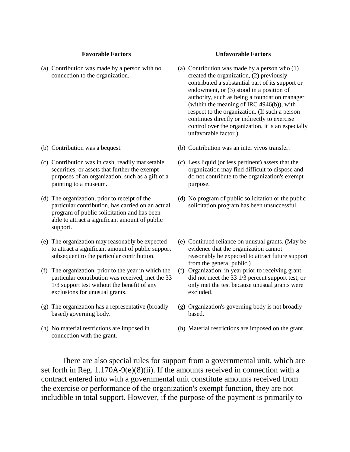(a) Contribution was made by a person with no  $\qquad$  (a) Contribution was made by a person who (1)

- 
- (c) Contribution was in cash, readily marketable (c) Less liquid (or less pertinent) assets that the painting to a museum. purpose.
- program of public solicitation and has been able to attract a significant amount of public support.
- to attract a significant amount of public support evidence that the organization cannot
- (f) The organization, prior to the year in which the (f) Organization, in year prior to receiving grant, exclusions for unusual grants. excluded.
- based) governing body. based.
- connection with the grant.

#### **Favorable Factors Unfavorable Factors**

- connection to the organization. created the organization, (2) previously contributed a substantial part of its support or endowment, or (3) stood in a position of authority, such as being a foundation manager (within the meaning of IRC 4946(b)), with respect to the organization. (If such a person continues directly or indirectly to exercise control over the organization, it is an especially unfavorable factor.)
- (b) Contribution was a bequest. (b) Contribution was an inter vivos transfer.
	- securities, or assets that further the exempt organization may find difficult to dispose and purposes of an organization, such as a gift of a do not contribute to the organization's exempt
- (d) The organization, prior to receipt of the (d) No program of public solicitation or the public particular contribution, has carried on an actual solicitation program has been unsuccessful.
- (e) The organization may reasonably be expected (e) Continued reliance on unusual grants. (May be subsequent to the particular contribution. reasonably be expected to attract future support from the general public.)
	- particular contribution was received, met the 33 did not meet the 33 1/3 percent support test, or 1/3 support test without the benefit of any only met the test because unusual grants were
- (g) The organization has a representative (broadly (g) Organization's governing body is not broadly
- (h) No material restrictions are imposed in (h) Material restrictions are imposed on the grant.

There are also special rules for support from a governmental unit, which are set forth in Reg. 1.170A-9(e)(8)(ii). If the amounts received in connection with a contract entered into with a governmental unit constitute amounts received from the exercise or performance of the organization's exempt function, they are not includible in total support. However, if the purpose of the payment is primarily to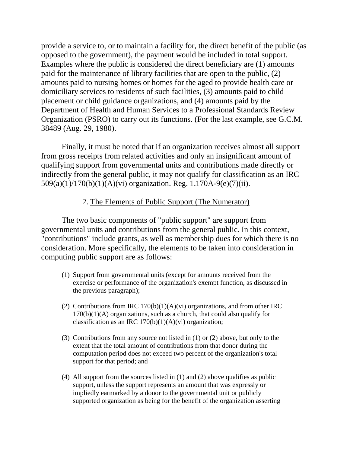provide a service to, or to maintain a facility for, the direct benefit of the public (as opposed to the government), the payment would be included in total support. Examples where the public is considered the direct beneficiary are (1) amounts paid for the maintenance of library facilities that are open to the public, (2) amounts paid to nursing homes or homes for the aged to provide health care or domiciliary services to residents of such facilities, (3) amounts paid to child placement or child guidance organizations, and (4) amounts paid by the Department of Health and Human Services to a Professional Standards Review Organization (PSRO) to carry out its functions. (For the last example, see G.C.M. 38489 (Aug. 29, 1980).

Finally, it must be noted that if an organization receives almost all support from gross receipts from related activities and only an insignificant amount of qualifying support from governmental units and contributions made directly or indirectly from the general public, it may not qualify for classification as an IRC 509(a)(1)/170(b)(1)(A)(vi) organization. Reg. 1.170A-9(e)(7)(ii).

# 2. The Elements of Public Support (The Numerator)

The two basic components of "public support" are support from governmental units and contributions from the general public. In this context, "contributions" include grants, as well as membership dues for which there is no consideration. More specifically, the elements to be taken into consideration in computing public support are as follows:

- (1) Support from governmental units (except for amounts received from the exercise or performance of the organization's exempt function, as discussed in the previous paragraph);
- (2) Contributions from IRC  $170(b)(1)(A)(vi)$  organizations, and from other IRC  $170(b)(1)(A)$  organizations, such as a church, that could also qualify for classification as an IRC  $170(b)(1)(A)(vi)$  organization;
- (3) Contributions from any source not listed in (1) or (2) above, but only to the extent that the total amount of contributions from that donor during the computation period does not exceed two percent of the organization's total support for that period; and
- (4) All support from the sources listed in (1) and (2) above qualifies as public support, unless the support represents an amount that was expressly or impliedly earmarked by a donor to the governmental unit or publicly supported organization as being for the benefit of the organization asserting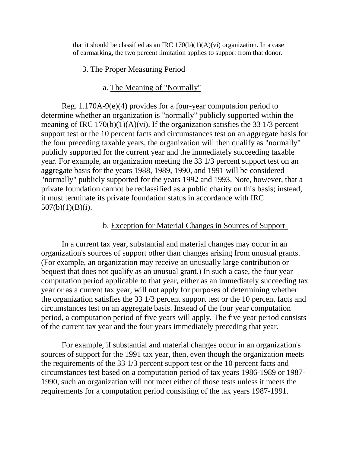that it should be classified as an IRC  $170(b)(1)(A)(vi)$  organization. In a case of earmarking, the two percent limitation applies to support from that donor.

# 3. The Proper Measuring Period

# a. The Meaning of "Normally"

Reg. 1.170A-9(e)(4) provides for a four-year computation period to determine whether an organization is "normally" publicly supported within the meaning of IRC  $170(b)(1)(A)(vi)$ . If the organization satisfies the 33 1/3 percent support test or the 10 percent facts and circumstances test on an aggregate basis for the four preceding taxable years, the organization will then qualify as "normally" publicly supported for the current year and the immediately succeeding taxable year. For example, an organization meeting the 33 1/3 percent support test on an aggregate basis for the years 1988, 1989, 1990, and 1991 will be considered "normally" publicly supported for the years 1992 and 1993. Note, however, that a private foundation cannot be reclassified as a public charity on this basis; instead, it must terminate its private foundation status in accordance with IRC  $507(b)(1)(B)(i)$ .

## b. Exception for Material Changes in Sources of Support

In a current tax year, substantial and material changes may occur in an organization's sources of support other than changes arising from unusual grants. (For example, an organization may receive an unusually large contribution or bequest that does not qualify as an unusual grant.) In such a case, the four year computation period applicable to that year, either as an immediately succeeding tax year or as a current tax year, will not apply for purposes of determining whether the organization satisfies the 33 1/3 percent support test or the 10 percent facts and circumstances test on an aggregate basis. Instead of the four year computation period, a computation period of five years will apply. The five year period consists of the current tax year and the four years immediately preceding that year.

For example, if substantial and material changes occur in an organization's sources of support for the 1991 tax year, then, even though the organization meets the requirements of the 33 1/3 percent support test or the 10 percent facts and circumstances test based on a computation period of tax years 1986-1989 or 1987- 1990, such an organization will not meet either of those tests unless it meets the requirements for a computation period consisting of the tax years 1987-1991.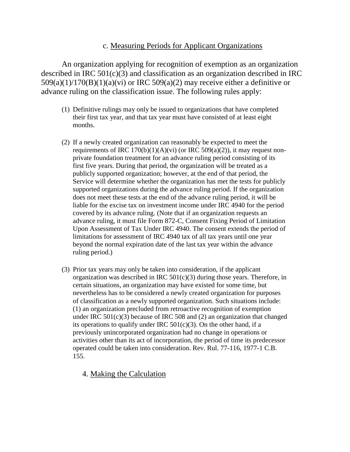# c. Measuring Periods for Applicant Organizations

An organization applying for recognition of exemption as an organization described in IRC  $501(c)(3)$  and classification as an organization described in IRC  $509(a)(1)/170(B)(1)(a)(vi)$  or IRC  $509(a)(2)$  may receive either a definitive or advance ruling on the classification issue. The following rules apply:

- (1) Definitive rulings may only be issued to organizations that have completed their first tax year, and that tax year must have consisted of at least eight months.
- (2) If a newly created organization can reasonably be expected to meet the requirements of IRC  $170(b)(1)(A)(vi)$  (or IRC  $509(a)(2)$ ), it may request nonprivate foundation treatment for an advance ruling period consisting of its first five years. During that period, the organization will be treated as a publicly supported organization; however, at the end of that period, the Service will determine whether the organization has met the tests for publicly supported organizations during the advance ruling period. If the organization does not meet these tests at the end of the advance ruling period, it will be liable for the excise tax on investment income under IRC 4940 for the period covered by its advance ruling. (Note that if an organization requests an advance ruling, it must file Form 872-C, Consent Fixing Period of Limitation Upon Assessment of Tax Under IRC 4940. The consent extends the period of limitations for assessment of IRC 4940 tax of all tax years until one year beyond the normal expiration date of the last tax year within the advance ruling period.)
- (3) Prior tax years may only be taken into consideration, if the applicant organization was described in IRC 501(c)(3) during those years. Therefore, in certain situations, an organization may have existed for some time, but nevertheless has to be considered a newly created organization for purposes of classification as a newly supported organization. Such situations include: (1) an organization precluded from retroactive recognition of exemption under IRC 501(c)(3) because of IRC 508 and (2) an organization that changed its operations to qualify under IRC  $501(c)(3)$ . On the other hand, if a previously unincorporated organization had no change in operations or activities other than its act of incorporation, the period of time its predecessor operated could be taken into consideration. Rev. Rul. 77-116, 1977-1 C.B. 155.

4. Making the Calculation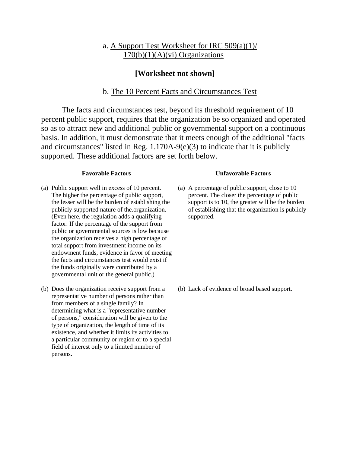# a. A Support Test Worksheet for IRC 509(a)(1)/  $170(b)(1)(A)(vi)$  Organizations

## **[Worksheet not shown]**

#### b. The 10 Percent Facts and Circumstances Test

The facts and circumstances test, beyond its threshold requirement of 10 percent public support, requires that the organization be so organized and operated so as to attract new and additional public or governmental support on a continuous basis. In addition, it must demonstrate that it meets enough of the additional "facts and circumstances" listed in Reg. 1.170A-9(e)(3) to indicate that it is publicly supported. These additional factors are set forth below.

- (a) Public support well in excess of 10 percent. (a) A percentage of public support, close to 10 (Even here, the regulation adds a qualifying supported. factor: If the percentage of the support from public or governmental sources is low because the organization receives a high percentage of total support from investment income on its endowment funds, evidence in favor of meeting the facts and circumstances test would exist if the funds originally were contributed by a governmental unit or the general public.)
- (b) Does the organization receive support from a (b) Lack of evidence of broad based support. representative number of persons rather than from members of a single family? In determining what is a "representative number of persons," consideration will be given to the type of organization, the length of time of its existence, and whether it limits its activities to a particular community or region or to a special field of interest only to a limited number of persons.

#### **Favorable Factors Unfavorable Factors**

The higher the percentage of public support, percent. The closer the percentage of public the lesser will be the burden of establishing the support is to 10, the greater will be the burden publicly supported nature of the.organization. of establishing that the organization is publicly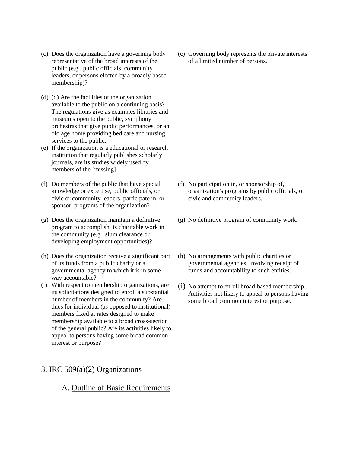- (c) Does the organization have a governing body representative of the broad interests of the public (e.g., public officials, community leaders, or persons elected by a broadly based membership)?
- (d) (d) Are the facilities of the organization available to the public on a continuing basis? The regulations give as examples libraries and museums open to the public, symphony orchestras that give public performances, or an old age home providing bed care and nursing services to the public.
- (e) If the organization is a educational or research institution that regularly publishes scholarly journals, are its studies widely used by members of the [missing]
- (f) Do members of the public that have special knowledge or expertise, public officials, or civic or community leaders, participate in, or sponsor, programs of the organization?
- (g) Does the organization maintain a definitive program to accomplish its charitable work in the community (e.g., slum clearance or developing employment opportunities)?
- (h) Does the organization receive a significant part of its funds from a public charity or a governmental agency to which it is in some way accountable?
- (i) With respect to membership organizations, are its solicitations designed to enroll a substantial number of members in the community? Are dues for individual (as opposed to institutional) members fixed at rates designed to make membership available to a broad cross-section of the general public? Are its activities likely to appeal to persons having some broad common interest or purpose?

## 3. IRC 509(a)(2) Organizations

## A. Outline of Basic Requirements

(c) Governing body represents the private interests of a limited number of persons.

- (f) No participation in, or sponsorship of, organization's programs by public officials, or civic and community leaders.
- (g) No definitive program of community work.
- (h) No arrangements with public charities or governmental agencies, involving receipt of funds and accountability to such entities.
- (i) No attempt to enroll broad-based membership. Activities not likely to appeal to persons having some broad common interest or purpose.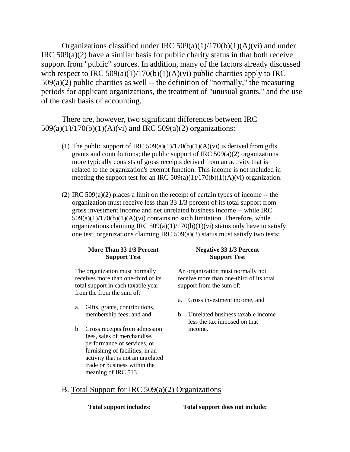Organizations classified under IRC  $509(a)(1)/170(b)(1)(A)(vi)$  and under IRC  $509(a)(2)$  have a similar basis for public charity status in that both receive support from "public" sources. In addition, many of the factors already discussed with respect to IRC  $509(a)(1)/170(b)(1)(A)(vi)$  public charities apply to IRC  $509(a)(2)$  public charities as well -- the definition of "normally," the measuring periods for applicant organizations, the treatment of "unusual grants," and the use of the cash basis of accounting.

There are, however, two significant differences between IRC 509(a)(1)/170(b)(1)(A)(vi) and IRC 509(a)(2) organizations:

- (1) The public support of IRC 509(a)(1)/170(b)(1)(A)(vi) is derived from gifts, grants and contributions; the public support of IRC  $509(a)(2)$  organizations more typically consists of gross receipts derived from an activity that is related to the organization's exempt function. This income is not included in meeting the support test for an IRC  $509(a)(1)/170(b)(1)(A)(vi)$  organization.
- (2) IRC  $509(a)(2)$  places a limit on the receipt of certain types of income -- the organization must receive less than 33 1/3 percent of its total support from gross investment income and net unrelated business income -- while IRC  $509(a)(1)/170(b)(1)(A)(vi)$  contains no such limitation. Therefore, while organizations claiming IRC 509(a)(1)/170(b)(1)(vi) status only have to satisfy one test, organizations claiming IRC 509(a)(2) status must satisfy two tests:

#### More Than 33 1/3 Percent **Negative 33 1/3 Percent Support Test Support Test**

total support in each taxable year support from the sum of: from the from the sum of:

- a. Gifts, grants, contributions,
- b. Gross receipts from admission income. fees, sales of merchandise, performance of services, or furnishing of facilities, in an activity that is not an unrelated trade or business within the meaning of IRC 513.

The organization must normally An organization must normally not receives more than one-third of its receive more than one-third of its total

- a. Gross investment income, and
- membership fees; and and b. Unrelated business taxable income less the tax imposed on that

## B. Total Support for IRC 509(a)(2) Organizations

**Total support includes: Total support does not include:**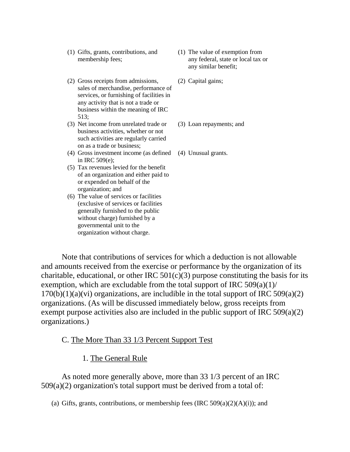- (1) Gifts, grants, contributions, and (1) The value of exemption from
- (2) Gross receipts from admissions, (2) Capital gains; sales of merchandise, performance of services, or furnishing of facilities in any activity that is not a trade or business within the meaning of IRC 513;
- (3) Net income from unrelated trade or (3) Loan repayments; and business activities, whether or not such activities are regularly carried on as a trade or business;
- (4) Gross investment income (as defined (4) Unusual grants. in IRC 509(e);
- (5) Tax revenues levied for the benefit of an organization and either paid to or expended on behalf of the organization; and
- (6) The value of services or facilities (exclusive of services or facilities generally furnished to the public without charge) furnished by a governmental unit to the organization without charge.
- membership fees; any federal, state or local tax or any similar benefit;
	-
	-
	-

Note that contributions of services for which a deduction is not allowable and amounts received from the exercise or performance by the organization of its charitable, educational, or other IRC  $501(c)(3)$  purpose constituting the basis for its exemption, which are excludable from the total support of IRC  $509(a)(1)$ /  $170(b)(1)(a)(vi)$  organizations, are includible in the total support of IRC 509(a)(2) organizations. (As will be discussed immediately below, gross receipts from exempt purpose activities also are included in the public support of IRC 509(a)(2) organizations.)

C. The More Than 33 1/3 Percent Support Test

1. The General Rule

As noted more generally above, more than 33 1/3 percent of an IRC 509(a)(2) organization's total support must be derived from a total of:

(a) Gifts, grants, contributions, or membership fees (IRC  $509(a)(2)(A)(i)$ ); and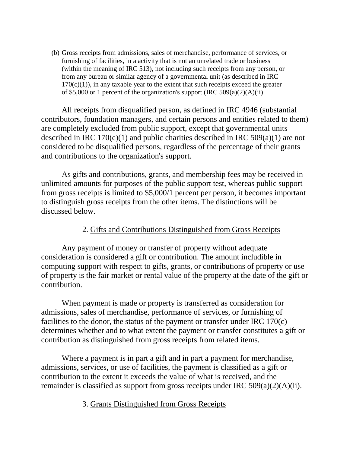(b) Gross receipts from admissions, sales of merchandise, performance of services, or furnishing of facilities, in a activity that is not an unrelated trade or business (within the meaning of IRC 513), not including such receipts from any person, or from any bureau or similar agency of a governmental unit (as described in IRC  $170(c)(1)$ , in any taxable year to the extent that such receipts exceed the greater of \$5,000 or 1 percent of the organization's support (IRC 509(a)(2)(A)(ii).

All receipts from disqualified person, as defined in IRC 4946 (substantial contributors, foundation managers, and certain persons and entities related to them) are completely excluded from public support, except that governmental units described in IRC 170(c)(1) and public charities described in IRC 509(a)(1) are not considered to be disqualified persons, regardless of the percentage of their grants and contributions to the organization's support.

As gifts and contributions, grants, and membership fees may be received in unlimited amounts for purposes of the public support test, whereas public support from gross receipts is limited to \$5,000/1 percent per person, it becomes important to distinguish gross receipts from the other items. The distinctions will be discussed below.

# 2. Gifts and Contributions Distinguished from Gross Receipts

Any payment of money or transfer of property without adequate consideration is considered a gift or contribution. The amount includible in computing support with respect to gifts, grants, or contributions of property or use of property is the fair market or rental value of the property at the date of the gift or contribution.

When payment is made or property is transferred as consideration for admissions, sales of merchandise, performance of services, or furnishing of facilities to the donor, the status of the payment or transfer under IRC 170(c) determines whether and to what extent the payment or transfer constitutes a gift or contribution as distinguished from gross receipts from related items.

Where a payment is in part a gift and in part a payment for merchandise, admissions, services, or use of facilities, the payment is classified as a gift or contribution to the extent it exceeds the value of what is received, and the remainder is classified as support from gross receipts under IRC 509(a)(2)(A)(ii).

# 3. Grants Distinguished from Gross Receipts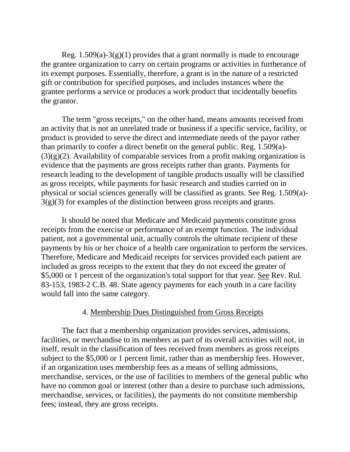Reg.  $1.509(a)-3(g)(1)$  provides that a grant normally is made to encourage the grantee organization to carry on certain programs or activities in furtherance of its exempt purposes. Essentially, therefore, a grant is in the nature of a restricted gift or contribution for specified purposes, and includes instances where the grantee performs a service or produces a work product that incidentally benefits the grantor.

The term "gross receipts," on the other hand, means amounts received from an activity that is not an unrelated trade or business if a specific service, facility, or product is provided to serve the direct and intermediate needs of the payor rather than primarily to confer a direct benefit on the general public. Reg. 1.509(a)-  $(3)(g)(2)$ . Availability of comparable services from a profit making organization is evidence that the payments are gross receipts rather than grants. Payments for research leading to the development of tangible products usually will be classified as gross receipts, while payments for basic research and studies carried on in physical or social sciences generally will be classified as grants. See Reg. 1.509(a)- 3(g)(3) for examples of the distinction between gross receipts and grants.

It should be noted that Medicare and Medicaid payments constitute gross receipts from the exercise or performance of an exempt function. The individual patient, not a governmental unit, actually controls the ultimate recipient of these payments by his or her choice of a health care organization to perform the services. Therefore, Medicare and Medicaid receipts for services provided each patient are included as gross receipts to the extent that they do not exceed the greater of \$5,000 or 1 percent of the organization's total support for that year. See Rev. Rul. 83-153, 1983-2 C.B. 48. State agency payments for each youth in a care facility would fall into the same category.

## 4. Membership Dues Distinguished from Gross Receipts

The fact that a membership organization provides services, admissions, facilities, or merchandise to its members as part of its overall activities will not, in itself, result in the classification of fees received from members as gross receipts subject to the \$5,000 or 1 percent limit, rather than as membership fees. However, if an organization uses membership fees as a means of selling admissions, merchandise, services, or the use of facilities to members of the general public who have no common goal or interest (other than a desire to purchase such admissions, merchandise, services, or facilities), the payments do not constitute membership fees; instead, they are gross receipts.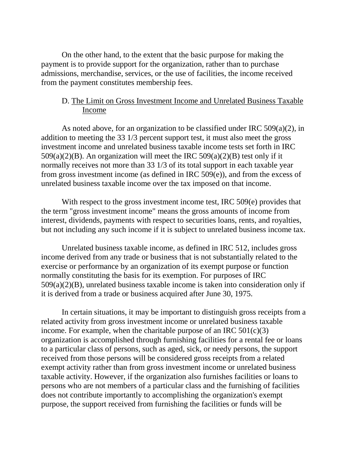On the other hand, to the extent that the basic purpose for making the payment is to provide support for the organization, rather than to purchase admissions, merchandise, services, or the use of facilities, the income received from the payment constitutes membership fees.

# D. The Limit on Gross Investment Income and Unrelated Business Taxable Income

As noted above, for an organization to be classified under IRC 509(a)(2), in addition to meeting the 33 1/3 percent support test, it must also meet the gross investment income and unrelated business taxable income tests set forth in IRC  $509(a)(2)(B)$ . An organization will meet the IRC  $509(a)(2)(B)$  test only if it normally receives not more than 33 1/3 of its total support in each taxable year from gross investment income (as defined in IRC 509(e)), and from the excess of unrelated business taxable income over the tax imposed on that income.

With respect to the gross investment income test, IRC 509(e) provides that the term "gross investment income" means the gross amounts of income from interest, dividends, payments with respect to securities loans, rents, and royalties, but not including any such income if it is subject to unrelated business income tax.

Unrelated business taxable income, as defined in IRC 512, includes gross income derived from any trade or business that is not substantially related to the exercise or performance by an organization of its exempt purpose or function normally constituting the basis for its exemption. For purposes of IRC 509(a)(2)(B), unrelated business taxable income is taken into consideration only if it is derived from a trade or business acquired after June 30, 1975.

In certain situations, it may be important to distinguish gross receipts from a related activity from gross investment income or unrelated business taxable income. For example, when the charitable purpose of an IRC  $501(c)(3)$ organization is accomplished through furnishing facilities for a rental fee or loans to a particular class of persons, such as aged, sick, or needy persons, the support received from those persons will be considered gross receipts from a related exempt activity rather than from gross investment income or unrelated business taxable activity. However, if the organization also furnishes facilities or loans to persons who are not members of a particular class and the furnishing of facilities does not contribute importantly to accomplishing the organization's exempt purpose, the support received from furnishing the facilities or funds will be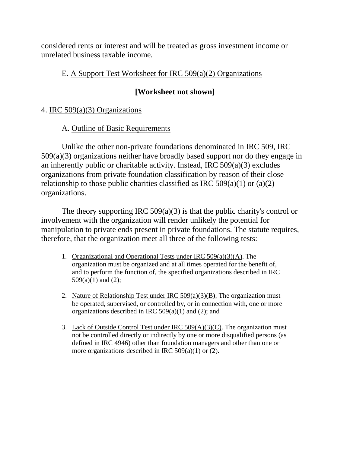considered rents or interest and will be treated as gross investment income or unrelated business taxable income.

# E. A Support Test Worksheet for IRC 509(a)(2) Organizations

# **[Worksheet not shown]**

4. IRC 509(a)(3) Organizations

A. Outline of Basic Requirements

Unlike the other non-private foundations denominated in IRC 509, IRC 509(a)(3) organizations neither have broadly based support nor do they engage in an inherently public or charitable activity. Instead, IRC 509(a)(3) excludes organizations from private foundation classification by reason of their close relationship to those public charities classified as IRC  $509(a)(1)$  or  $(a)(2)$ organizations.

The theory supporting IRC  $509(a)(3)$  is that the public charity's control or involvement with the organization will render unlikely the potential for manipulation to private ends present in private foundations. The statute requires, therefore, that the organization meet all three of the following tests:

- 1. Organizational and Operational Tests under IRC 509(a)(3)(A). The organization must be organized and at all times operated for the benefit of, and to perform the function of, the specified organizations described in IRC  $509(a)(1)$  and  $(2)$ ;
- 2. Nature of Relationship Test under IRC  $509(a)(3)(B)$ . The organization must be operated, supervised, or controlled by, or in connection with, one or more organizations described in IRC  $509(a)(1)$  and (2); and
- 3. Lack of Outside Control Test under IRC  $509(A)(3)(C)$ . The organization must not be controlled directly or indirectly by one or more disqualified persons (as defined in IRC 4946) other than foundation managers and other than one or more organizations described in IRC 509(a)(1) or (2).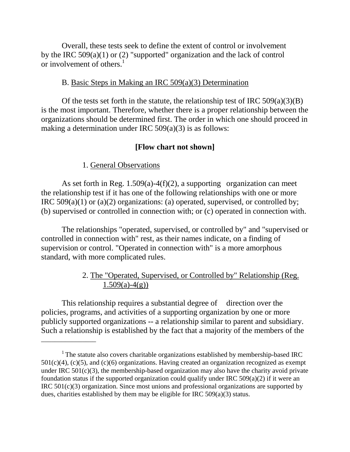Overall, these tests seek to define the extent of control or involvement by the IRC 509(a)(1) or (2) "supported" organization and the lack of control or involvement of others.<sup>1</sup>

# B. Basic Steps in Making an IRC 509(a)(3) Determination

Of the tests set forth in the statute, the relationship test of IRC  $509(a)(3)(B)$ is the most important. Therefore, whether there is a proper relationship between the organizations should be determined first. The order in which one should proceed in making a determination under IRC 509(a)(3) is as follows:

# **[Flow chart not shown]**

# 1. General Observations

 $\overline{\phantom{a}}$  , where  $\overline{\phantom{a}}$ 

As set forth in Reg.  $1.509(a) - 4(f)(2)$ , a supporting organization can meet the relationship test if it has one of the following relationships with one or more IRC  $509(a)(1)$  or  $(a)(2)$  organizations: (a) operated, supervised, or controlled by; (b) supervised or controlled in connection with; or (c) operated in connection with.

The relationships "operated, supervised, or controlled by" and "supervised or controlled in connection with" rest, as their names indicate, on a finding of supervision or control. "Operated in connection with" is a more amorphous standard, with more complicated rules.

# 2. The "Operated, Supervised, or Controlled by" Relationship (Reg.  $1.509(a)-4(g)$

This relationship requires a substantial degree of direction over the policies, programs, and activities of a supporting organization by one or more publicly supported organizations -- a relationship similar to parent and subsidiary. Such a relationship is established by the fact that a majority of the members of the

<sup>&</sup>lt;sup>1</sup> The statute also covers charitable organizations established by membership-based IRC  $501(c)(4)$ , (c)(5), and (c)(6) organizations. Having created an organization recognized as exempt under IRC  $501(c)(3)$ , the membership-based organization may also have the charity avoid private foundation status if the supported organization could qualify under IRC  $509(a)(2)$  if it were an IRC 501(c)(3) organization. Since most unions and professional organizations are supported by dues, charities established by them may be eligible for IRC 509(a)(3) status.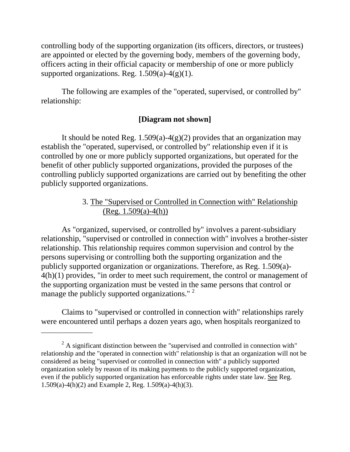controlling body of the supporting organization (its officers, directors, or trustees) are appointed or elected by the governing body, members of the governing body, officers acting in their official capacity or membership of one or more publicly supported organizations. Reg.  $1.509(a)-4(g)(1)$ .

The following are examples of the "operated, supervised, or controlled by" relationship:

# **[Diagram not shown]**

It should be noted Reg.  $1.509(a) - 4(g)(2)$  provides that an organization may establish the "operated, supervised, or controlled by" relationship even if it is controlled by one or more publicly supported organizations, but operated for the benefit of other publicly supported organizations, provided the purposes of the controlling publicly supported organizations are carried out by benefiting the other publicly supported organizations.

# 3. The "Supervised or Controlled in Connection with" Relationship  $(Reg. 1.509(a)-4(h))$

As "organized, supervised, or controlled by" involves a parent-subsidiary relationship, "supervised or controlled in connection with" involves a brother-sister relationship. This relationship requires common supervision and control by the persons supervising or controlling both the supporting organization and the publicly supported organization or organizations. Therefore, as Reg. 1.509(a)- 4(h)(1) provides, "in order to meet such requirement, the control or management of the supporting organization must be vested in the same persons that control or manage the publicly supported organizations." <sup>2</sup>

Claims to "supervised or controlled in connection with" relationships rarely were encountered until perhaps a dozen years ago, when hospitals reorganized to

 $\overline{\phantom{a}}$  , where  $\overline{\phantom{a}}$ 

 $2^2$  A significant distinction between the "supervised and controlled in connection with" relationship and the "operated in connection with" relationship is that an organization will not be considered as being "supervised or controlled in connection with" a publicly supported organization solely by reason of its making payments to the publicly supported organization, even if the publicly supported organization has enforceable rights under state law. See Reg. 1.509(a)-4(h)(2) and Example 2, Reg. 1.509(a)-4(h)(3).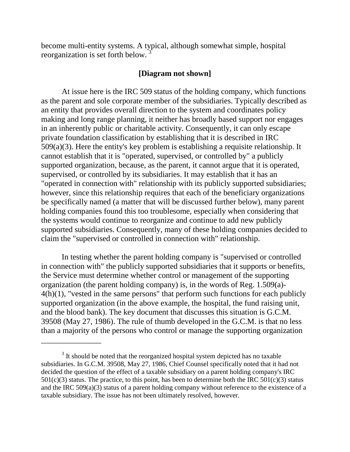become multi-entity systems. A typical, although somewhat simple, hospital reorganization is set forth below. 3

# **[Diagram not shown]**

At issue here is the IRC 509 status of the holding company, which functions as the parent and sole corporate member of the subsidiaries. Typically described as an entity that provides overall direction to the system and coordinates policy making and long range planning, it neither has broadly based support nor engages in an inherently public or charitable activity. Consequently, it can only escape private foundation classification by establishing that it is described in IRC 509(a)(3). Here the entity's key problem is establishing a requisite relationship. It cannot establish that it is "operated, supervised, or controlled by" a publicly supported organization, because, as the parent, it cannot argue that it is operated, supervised, or controlled by its subsidiaries. It may establish that it has an "operated in connection with" relationship with its publicly supported subsidiaries; however, since this relationship requires that each of the beneficiary organizations be specifically named (a matter that will be discussed further below), many parent holding companies found this too troublesome, especially when considering that the systems would continue to reorganize and continue to add new publicly supported subsidiaries. Consequently, many of these holding companies decided to claim the "supervised or controlled in connection with" relationship.

In testing whether the parent holding company is "supervised or controlled in connection with" the publicly supported subsidiaries that it supports or benefits, the Service must determine whether control or management of the supporting organization (the parent holding company) is, in the words of Reg. 1.509(a)-  $4(h)(1)$ , "vested in the same persons" that perform such functions for each publicly supported organization (in the above example, the hospital, the fund raising unit, and the blood bank). The key document that discusses this situation is G.C.M. 39508 (May 27, 1986). The rule of thumb developed in the G.C.M. is that no less than a majority of the persons who control or manage the supporting organization

\_\_\_\_\_\_\_\_\_\_\_\_\_\_\_

<sup>&</sup>lt;sup>3</sup> It should be noted that the reorganized hospital system depicted has no taxable subsidiaries. In G.C.M. 39508, May 27, 1986, Chief Counsel specifically noted that it had not decided the question of the effect of a taxable subsidiary on a parent holding company's IRC  $501(c)(3)$  status. The practice, to this point, has been to determine both the IRC  $501(c)(3)$  status and the IRC  $509(a)(3)$  status of a parent holding company without reference to the existence of a taxable subsidiary. The issue has not been ultimately resolved, however.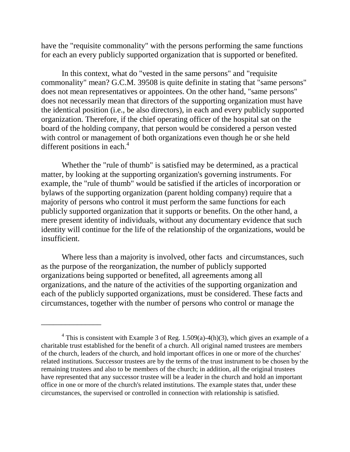have the "requisite commonality" with the persons performing the same functions for each an every publicly supported organization that is supported or benefited.

In this context, what do "vested in the same persons" and "requisite commonality" mean? G.C.M. 39508 is quite definite in stating that "same persons" does not mean representatives or appointees. On the other hand, "same persons" does not necessarily mean that directors of the supporting organization must have the identical position (i.e., be also directors), in each and every publicly supported organization. Therefore, if the chief operating officer of the hospital sat on the board of the holding company, that person would be considered a person vested with control or management of both organizations even though he or she held different positions in each.<sup>4</sup>

Whether the "rule of thumb" is satisfied may be determined, as a practical matter, by looking at the supporting organization's governing instruments. For example, the "rule of thumb" would be satisfied if the articles of incorporation or bylaws of the supporting organization (parent holding company) require that a majority of persons who control it must perform the same functions for each publicly supported organization that it supports or benefits. On the other hand, a mere present identity of individuals, without any documentary evidence that such identity will continue for the life of the relationship of the organizations, would be insufficient.

Where less than a majority is involved, other facts and circumstances, such as the purpose of the reorganization, the number of publicly supported organizations being supported or benefited, all agreements among all organizations, and the nature of the activities of the supporting organization and each of the publicly supported organizations, must be considered. These facts and circumstances, together with the number of persons who control or manage the

\_\_\_\_\_\_\_\_\_\_\_\_\_\_\_

<sup>&</sup>lt;sup>4</sup> This is consistent with Example 3 of Reg. 1.509(a)-4(h)(3), which gives an example of a charitable trust established for the benefit of a church. All original named trustees are members of the church, leaders of the church, and hold important offices in one or more of the churches' related institutions. Successor trustees are by the terms of the trust instrument to be chosen by the remaining trustees and also to be members of the church; in addition, all the original trustees have represented that any successor trustee will be a leader in the church and hold an important office in one or more of the church's related institutions. The example states that, under these circumstances, the supervised or controlled in connection with relationship is satisfied.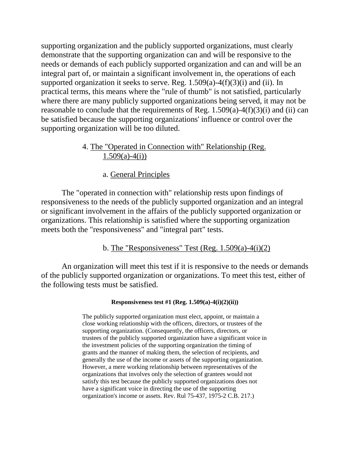supporting organization and the publicly supported organizations, must clearly demonstrate that the supporting organization can and will be responsive to the needs or demands of each publicly supported organization and can and will be an integral part of, or maintain a significant involvement in, the operations of each supported organization it seeks to serve. Reg.  $1.509(a) - 4(f)(3)(i)$  and (ii). In practical terms, this means where the "rule of thumb" is not satisfied, particularly where there are many publicly supported organizations being served, it may not be reasonable to conclude that the requirements of Reg.  $1.509(a) - 4(f)(3)(i)$  and (ii) can be satisfied because the supporting organizations' influence or control over the supporting organization will be too diluted.

# 4. The "Operated in Connection with" Relationship (Reg.  $1.509(a) - 4(i)$

a. General Principles

The "operated in connection with" relationship rests upon findings of responsiveness to the needs of the publicly supported organization and an integral or significant involvement in the affairs of the publicly supported organization or organizations. This relationship is satisfied where the supporting organization meets both the "responsiveness" and "integral part" tests.

b. The "Responsiveness" Test (Reg.  $1.509(a)-4(i)(2)$ )

An organization will meet this test if it is responsive to the needs or demands of the publicly supported organization or organizations. To meet this test, either of the following tests must be satisfied.

#### **Responsiveness test #1 (Reg. 1.509(a)-4(i)(2)(ii))**

The publicly supported organization must elect, appoint, or maintain a close working relationship with the officers, directors, or trustees of the supporting organization. (Consequently, the officers, directors, or trustees of the publicly supported organization have a significant voice in the investment policies of the supporting organization the timing of grants and the manner of making them, the selection of recipients, and generally the use of the income or assets of the supporting organization. However, a mere working relationship between representatives of the organizations that involves only the selection of grantees would not satisfy this test because the publicly supported organizations does not have a significant voice in directing the use of the supporting organization's income or assets. Rev. Rul 75-437, 1975-2 C.B. 217.)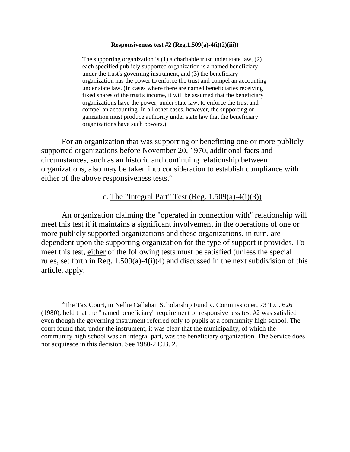#### **Responsiveness test #2 (Reg.1.509(a)-4(i)(2)(iii))**

The supporting organization is (1) a charitable trust under state law, (2) each specified publicly supported organization is a named beneficiary under the trust's governing instrument, and (3) the beneficiary organization has the power to enforce the trust and compel an accounting under state law. (In cases where there are named beneficiaries receiving fixed shares of the trust's income, it will be assumed that the beneficiary organizations have the power, under state law, to enforce the trust and compel an accounting. In all other cases, however, the supporting or ganization must produce authority under state law that the beneficiary organizations have such powers.)

For an organization that was supporting or benefitting one or more publicly supported organizations before November 20, 1970, additional facts and circumstances, such as an historic and continuing relationship between organizations, also may be taken into consideration to establish compliance with either of the above responsiveness tests.<sup>5</sup>

# c. The "Integral Part" Test (Reg.  $1.509(a)-4(i)(3)$ )

An organization claiming the "operated in connection with" relationship will meet this test if it maintains a significant involvement in the operations of one or more publicly supported organizations and these organizations, in turn, are dependent upon the supporting organization for the type of support it provides. To meet this test, either of the following tests must be satisfied (unless the special rules, set forth in Reg. 1.509(a)-4(i)(4) and discussed in the next subdivision of this article, apply.

\_\_\_\_\_\_\_\_\_\_\_\_\_\_\_

<sup>&</sup>lt;sup>5</sup>The Tax Court, in Nellie Callahan Scholarship Fund v. Commissioner, 73 T.C. 626 (1980), held that the "named beneficiary" requirement of responsiveness test #2 was satisfied even though the governing instrument referred only to pupils at a community high school. The court found that, under the instrument, it was clear that the municipality, of which the community high school was an integral part, was the beneficiary organization. The Service does not acquiesce in this decision. See 1980-2 C.B. 2.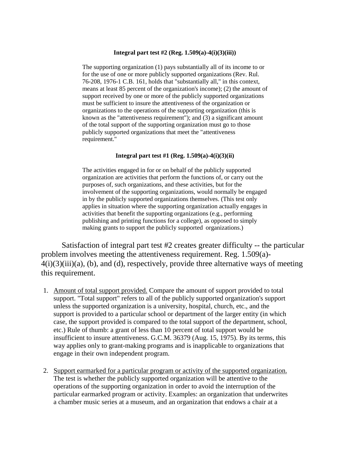#### **Integral part test #2 (Reg. 1.509(a)-4(i)(3)(iii))**

The supporting organization (1) pays substantially all of its income to or for the use of one or more publicly supported organizations (Rev. Rul. 76-208, 1976-1 C.B. 161, holds that "substantially all," in this context, means at least 85 percent of the organization's income); (2) the amount of support received by one or more of the publicly supported organizations must be sufficient to insure the attentiveness of the organization or organizations to the operations of the supporting organization (this is known as the "attentiveness requirement"); and (3) a significant amount of the total support of the supporting organization must go to those publicly supported organizations that meet the "attentiveness requirement."

#### **Integral part test #1 (Reg. 1.509(a)-4(i)(3)(ii)**

The activities engaged in for or on behalf of the publicly supported organization are activities that perform the functions of, or carry out the purposes of, such organizations, and these activities, but for the involvement of the supporting organizations, would normally be engaged in by the publicly supported organizations themselves. (This test only applies in situation where the supporting organization actually engages in activities that benefit the supporting organizations (e.g., performing publishing and printing functions for a college), as opposed to simply making grants to support the publicly supported organizations.)

Satisfaction of integral part test #2 creates greater difficulty -- the particular problem involves meeting the attentiveness requirement. Reg. 1.509(a)-  $4(i)(3)(iii)(a)$ , (b), and (d), respectively, provide three alternative ways of meeting this requirement.

- 1. Amount of total support provided. Compare the amount of support provided to total support. "Total support" refers to all of the publicly supported organization's support unless the supported organization is a university, hospital, church, etc., and the support is provided to a particular school or department of the larger entity (in which case, the support provided is compared to the total support of the department, school, etc.) Rule of thumb: a grant of less than 10 percent of total support would be insufficient to insure attentiveness. G.C.M. 36379 (Aug. 15, 1975). By its terms, this way applies only to grant-making programs and is inapplicable to organizations that engage in their own independent program.
- 2. Support earmarked for a particular program or activity of the supported organization. The test is whether the publicly supported organization will be attentive to the operations of the supporting organization in order to avoid the interruption of the particular earmarked program or activity. Examples: an organization that underwrites a chamber music series at a museum, and an organization that endows a chair at a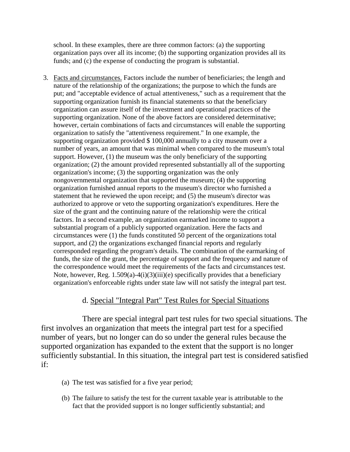school. In these examples, there are three common factors: (a) the supporting organization pays over all its income; (b) the supporting organization provides all its funds; and (c) the expense of conducting the program is substantial.

3. Facts and circumstances. Factors include the number of beneficiaries; the length and nature of the relationship of the organizations; the purpose to which the funds are put; and "acceptable evidence of actual attentiveness," such as a requirement that the supporting organization furnish its financial statements so that the beneficiary organization can assure itself of the investment and operational practices of the supporting organization. None of the above factors are considered determinative; however, certain combinations of facts and circumstances will enable the supporting organization to satisfy the "attentiveness requirement." In one example, the supporting organization provided \$ 100,000 annually to a city museum over a number of years, an amount that was minimal when compared to the museum's total support. However, (1) the museum was the only beneficiary of the supporting organization; (2) the amount provided represented substantially all of the supporting organization's income; (3) the supporting organization was the only nongovernmental organization that supported the museum; (4) the supporting organization furnished annual reports to the museum's director who furnished a statement that he reviewed the upon receipt; and (5) the museum's director was authorized to approve or veto the supporting organization's expenditures. Here the size of the grant and the continuing nature of the relationship were the critical factors. In a second example, an organization earmarked income to support a substantial program of a publicly supported organization. Here the facts and circumstances were (1) the funds constituted 50 percent of the organizations total support, and (2) the organizations exchanged financial reports and regularly corresponded regarding the program's details. The combination of the earmarking of funds, the size of the grant, the percentage of support and the frequency and nature of the correspondence would meet the requirements of the facts and circumstances test. Note, however, Reg. 1.509(a)-4(i)(3)(iii)(e) specifically provides that a beneficiary organization's enforceable rights under state law will not satisfy the integral part test.

# d. Special "Integral Part" Test Rules for Special Situations

There are special integral part test rules for two special situations. The first involves an organization that meets the integral part test for a specified number of years, but no longer can do so under the general rules because the supported organization has expanded to the extent that the support is no longer sufficiently substantial. In this situation, the integral part test is considered satisfied if:

- (a) The test was satisfied for a five year period;
- (b) The failure to satisfy the test for the current taxable year is attributable to the fact that the provided support is no longer sufficiently substantial; and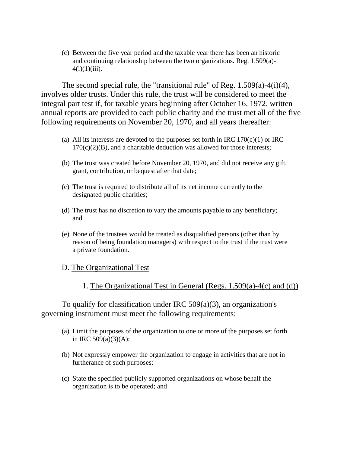(c) Between the five year period and the taxable year there has been an historic and continuing relationship between the two organizations. Reg. 1.509(a)-  $4(i)(1)(iii)$ .

The second special rule, the "transitional rule" of Reg. 1.509(a)-4(i)(4), involves older trusts. Under this rule, the trust will be considered to meet the integral part test if, for taxable years beginning after October 16, 1972, written annual reports are provided to each public charity and the trust met all of the five following requirements on November 20, 1970, and all years thereafter:

- (a) All its interests are devoted to the purposes set forth in IRC  $170(c)(1)$  or IRC  $170(c)(2)(B)$ , and a charitable deduction was allowed for those interests;
- (b) The trust was created before November 20, 1970, and did not receive any gift, grant, contribution, or bequest after that date;
- (c) The trust is required to distribute all of its net income currently to the designated public charities;
- (d) The trust has no discretion to vary the amounts payable to any beneficiary; and
- (e) None of the trustees would be treated as disqualified persons (other than by reason of being foundation managers) with respect to the trust if the trust were a private foundation.

## D. The Organizational Test

1. The Organizational Test in General (Regs. 1.509(a)-4(c) and (d))

To qualify for classification under IRC 509(a)(3), an organization's governing instrument must meet the following requirements:

- (a) Limit the purposes of the organization to one or more of the purposes set forth in IRC 509(a)(3)(A);
- (b) Not expressly empower the organization to engage in activities that are not in furtherance of such purposes;
- (c) State the specified publicly supported organizations on whose behalf the organization is to be operated; and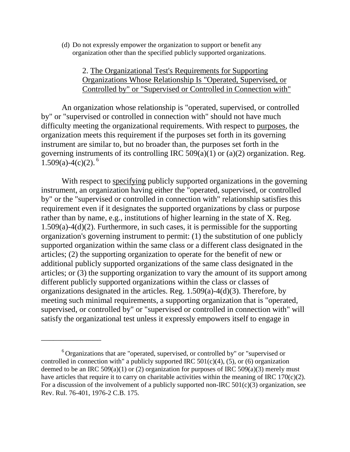(d) Do not expressly empower the organization to support or benefit any organization other than the specified publicly supported organizations.

# 2. The Organizational Test's Requirements for Supporting Organizations Whose Relationship Is "Operated, Supervised, or Controlled by" or "Supervised or Controlled in Connection with"

An organization whose relationship is "operated, supervised, or controlled by" or "supervised or controlled in connection with" should not have much difficulty meeting the organizational requirements. With respect to purposes, the organization meets this requirement if the purposes set forth in its governing instrument are similar to, but no broader than, the purposes set forth in the governing instruments of its controlling IRC 509(a)(1) or (a)(2) organization. Reg. 1.509(a)-4(c)(2).<sup>6</sup>

With respect to specifying publicly supported organizations in the governing instrument, an organization having either the "operated, supervised, or controlled by" or the "supervised or controlled in connection with" relationship satisfies this requirement even if it designates the supported organizations by class or purpose rather than by name, e.g., institutions of higher learning in the state of X. Reg. 1.509(a)-4(d)(2). Furthermore, in such cases, it is permissible for the supporting organization's governing instrument to permit: (1) the substitution of one publicly supported organization within the same class or a different class designated in the articles; (2) the supporting organization to operate for the benefit of new or additional publicly supported organizations of the same class designated in the articles; or (3) the supporting organization to vary the amount of its support among different publicly supported organizations within the class or classes of organizations designated in the articles. Reg. 1.509(a)-4(d)(3). Therefore, by meeting such minimal requirements, a supporting organization that is "operated, supervised, or controlled by" or "supervised or controlled in connection with" will satisfy the organizational test unless it expressly empowers itself to engage in

\_\_\_\_\_\_\_\_\_\_\_\_\_\_\_

 $6$  Organizations that are "operated, supervised, or controlled by" or "supervised or controlled in connection with" a publicly supported IRC  $501(c)(4)$ ,  $(5)$ , or  $(6)$  organization deemed to be an IRC 509(a)(1) or (2) organization for purposes of IRC 509(a)(3) merely must have articles that require it to carry on charitable activities within the meaning of IRC 170(c)(2). For a discussion of the involvement of a publicly supported non-IRC  $501(c)(3)$  organization, see Rev. Rul. 76-401, 1976-2 C.B. 175.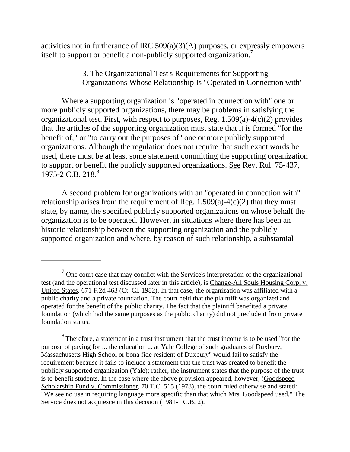activities not in furtherance of IRC 509(a)(3)(A) purposes, or expressly empowers itself to support or benefit a non-publicly supported organization.7

# 3. The Organizational Test's Requirements for Supporting Organizations Whose Relationship Is "Operated in Connection with"

Where a supporting organization is "operated in connection with" one or more publicly supported organizations, there may be problems in satisfying the organizational test. First, with respect to purposes, Reg. 1.509(a)-4(c)(2) provides that the articles of the supporting organization must state that it is formed "for the benefit of," or "to carry out the purposes of" one or more publicly supported organizations. Although the regulation does not require that such exact words be used, there must be at least some statement committing the supporting organization to support or benefit the publicly supported organizations. See Rev. Rul. 75-437,  $1975 - 2$  C.B.  $218<sup>8</sup>$ 

A second problem for organizations with an "operated in connection with" relationship arises from the requirement of Reg.  $1.509(a)-4(c)(2)$  that they must state, by name, the specified publicly supported organizations on whose behalf the organization is to be operated. However, in situations where there has been an historic relationship between the supporting organization and the publicly supported organization and where, by reason of such relationship, a substantial

\_\_\_\_\_\_\_\_\_\_\_\_\_\_\_

 $<sup>7</sup>$  One court case that may conflict with the Service's interpretation of the organizational</sup> test (and the operational test discussed later in this article), is Change-All Souls Housing Corp. v. United States, 671 F.2d 463 (Ct. Cl. 1982). In that case, the organization was affiliated with a public charity and a private foundation. The court held that the plaintiff was organized and operated for the benefit of the public charity. The fact that the plaintiff benefited a private foundation (which had the same purposes as the public charity) did not preclude it from private foundation status.

<sup>&</sup>lt;sup>8</sup> Therefore, a statement in a trust instrument that the trust income is to be used "for the purpose of paying for ... the education ... at Yale College of such graduates of Duxbury, Massachusetts High School or bona fide resident of Duxbury" would fail to satisfy the requirement because it fails to include a statement that the trust was created to benefit the publicly supported organization (Yale); rather, the instrument states that the purpose of the trust is to benefit students. In the case where the above provision appeared, however, (Goodspeed Scholarship Fund v. Commissioner, 70 T.C. 515 (1978), the court ruled otherwise and stated: "We see no use in requiring language more specific than that which Mrs. Goodspeed used." The Service does not acquiesce in this decision (1981-1 C.B. 2).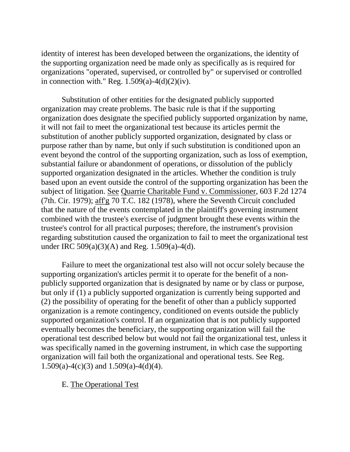identity of interest has been developed between the organizations, the identity of the supporting organization need be made only as specifically as is required for organizations "operated, supervised, or controlled by" or supervised or controlled in connection with." Reg.  $1.509(a)-4(d)(2)(iv)$ .

Substitution of other entities for the designated publicly supported organization may create problems. The basic rule is that if the supporting organization does designate the specified publicly supported organization by name, it will not fail to meet the organizational test because its articles permit the substitution of another publicly supported organization, designated by class or purpose rather than by name, but only if such substitution is conditioned upon an event beyond the control of the supporting organization, such as loss of exemption, substantial failure or abandonment of operations, or dissolution of the publicly supported organization designated in the articles. Whether the condition is truly based upon an event outside the control of the supporting organization has been the subject of litigation. See Quarrie Charitable Fund v. Commissioner, 603 F.2d 1274 (7th. Cir. 1979); aff'g 70 T.C. 182 (1978), where the Seventh Circuit concluded that the nature of the events contemplated in the plaintiff's governing instrument combined with the trustee's exercise of judgment brought these events within the trustee's control for all practical purposes; therefore, the instrument's provision regarding substitution caused the organization to fail to meet the organizational test under IRC 509(a)(3)(A) and Reg. 1.509(a)-4(d).

Failure to meet the organizational test also will not occur solely because the supporting organization's articles permit it to operate for the benefit of a nonpublicly supported organization that is designated by name or by class or purpose, but only if (1) a publicly supported organization is currently being supported and (2) the possibility of operating for the benefit of other than a publicly supported organization is a remote contingency, conditioned on events outside the publicly supported organization's control. If an organization that is not publicly supported eventually becomes the beneficiary, the supporting organization will fail the operational test described below but would not fail the organizational test, unless it was specifically named in the governing instrument, in which case the supporting organization will fail both the organizational and operational tests. See Reg. 1.509(a)-4(c)(3) and 1.509(a)-4(d)(4).

E. The Operational Test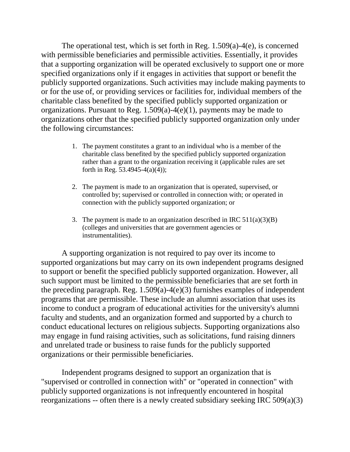The operational test, which is set forth in Reg. 1.509(a)-4(e), is concerned with permissible beneficiaries and permissible activities. Essentially, it provides that a supporting organization will be operated exclusively to support one or more specified organizations only if it engages in activities that support or benefit the publicly supported organizations. Such activities may include making payments to or for the use of, or providing services or facilities for, individual members of the charitable class benefited by the specified publicly supported organization or organizations. Pursuant to Reg. 1.509(a)-4(e)(1), payments may be made to organizations other that the specified publicly supported organization only under the following circumstances:

- 1. The payment constitutes a grant to an individual who is a member of the charitable class benefited by the specified publicly supported organization rather than a grant to the organization receiving it (applicable rules are set forth in Reg. 53.4945-4(a)(4));
- 2. The payment is made to an organization that is operated, supervised, or controlled by; supervised or controlled in connection with; or operated in connection with the publicly supported organization; or
- 3. The payment is made to an organization described in IRC  $511(a)(3)(B)$ (colleges and universities that are government agencies or instrumentalities).

A supporting organization is not required to pay over its income to supported organizations but may carry on its own independent programs designed to support or benefit the specified publicly supported organization. However, all such support must be limited to the permissible beneficiaries that are set forth in the preceding paragraph. Reg. 1.509(a)-4(e)(3) furnishes examples of independent programs that are permissible. These include an alumni association that uses its income to conduct a program of educational activities for the university's alumni faculty and students, and an organization formed and supported by a church to conduct educational lectures on religious subjects. Supporting organizations also may engage in fund raising activities, such as solicitations, fund raising dinners and unrelated trade or business to raise funds for the publicly supported organizations or their permissible beneficiaries.

Independent programs designed to support an organization that is "supervised or controlled in connection with" or "operated in connection" with publicly supported organizations is not infrequently encountered in hospital reorganizations -- often there is a newly created subsidiary seeking IRC 509(a)(3)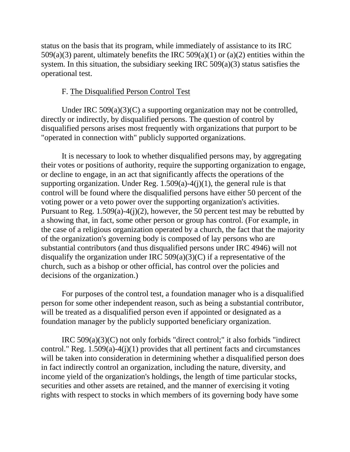status on the basis that its program, while immediately of assistance to its IRC 509(a)(3) parent, ultimately benefits the IRC 509(a)(1) or (a)(2) entities within the system. In this situation, the subsidiary seeking IRC 509(a)(3) status satisfies the operational test.

# F. The Disqualified Person Control Test

Under IRC  $509(a)(3)(C)$  a supporting organization may not be controlled, directly or indirectly, by disqualified persons. The question of control by disqualified persons arises most frequently with organizations that purport to be "operated in connection with" publicly supported organizations.

It is necessary to look to whether disqualified persons may, by aggregating their votes or positions of authority, require the supporting organization to engage, or decline to engage, in an act that significantly affects the operations of the supporting organization. Under Reg.  $1.509(a)-4(j)(1)$ , the general rule is that control will be found where the disqualified persons have either 50 percent of the voting power or a veto power over the supporting organization's activities. Pursuant to Reg. 1.509(a)-4(j)(2), however, the 50 percent test may be rebutted by a showing that, in fact, some other person or group has control. (For example, in the case of a religious organization operated by a church, the fact that the majority of the organization's governing body is composed of lay persons who are substantial contributors (and thus disqualified persons under IRC 4946) will not disqualify the organization under IRC  $509(a)(3)(C)$  if a representative of the church, such as a bishop or other official, has control over the policies and decisions of the organization.)

For purposes of the control test, a foundation manager who is a disqualified person for some other independent reason, such as being a substantial contributor, will be treated as a disqualified person even if appointed or designated as a foundation manager by the publicly supported beneficiary organization.

IRC 509(a)(3)(C) not only forbids "direct control;" it also forbids "indirect control." Reg.  $1.509(a) - 4(i)(1)$  provides that all pertinent facts and circumstances will be taken into consideration in determining whether a disqualified person does in fact indirectly control an organization, including the nature, diversity, and income yield of the organization's holdings, the length of time particular stocks, securities and other assets are retained, and the manner of exercising it voting rights with respect to stocks in which members of its governing body have some